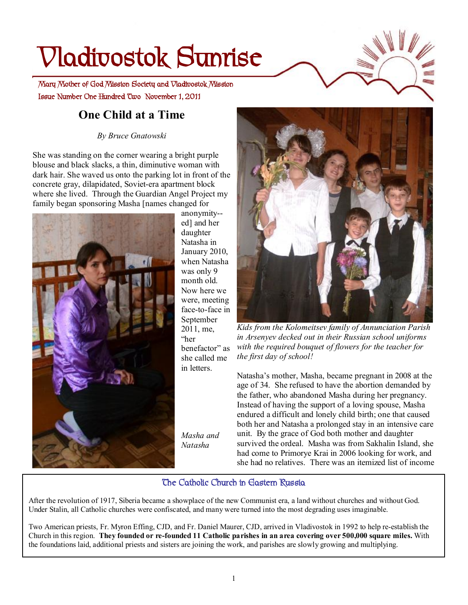# **Vladivostok Sunrise**

 **Issue Number One Hundred Two November 1, 2011 Mary Mother of God Mission Society and Vladivostok Mission** 

## **One Child at a Time**

*By Bruce Gnatowski* 

She was standing on the corner wearing a bright purple blouse and black slacks, a thin, diminutive woman with dark hair. She waved us onto the parking lot in front of the concrete gray, dilapidated, Soviet-era apartment block where she lived. Through the Guardian Angel Project my family began sponsoring Masha [names changed for



anonymity- ed] and her daughter Natasha in January 2010, when Natasha was only 9 month old. Now here we were, meeting face-to-face in September 2011, me, "her benefactor" as she called me in letters.

*Masha and Natasha* 



*Kids from the Kolomeitsev family of Annunciation Parish in Arsenyev decked out in their Russian school uniforms with the required bouquet of flowers for the teacher for the first day of school!*

Natasha's mother, Masha, became pregnant in 2008 at the age of 34. She refused to have the abortion demanded by the father, who abandoned Masha during her pregnancy. Instead of having the support of a loving spouse, Masha endured a difficult and lonely child birth; one that caused both her and Natasha a prolonged stay in an intensive care unit. By the grace of God both mother and daughter survived the ordeal. Masha was from Sakhalin Island, she had come to Primorye Krai in 2006 looking for work, and she had no relatives. There was an itemized list of income

#### **The Catholic Church in Eastern Russia**

After the revolution of 1917, Siberia became a showplace of the new Communist era, a land without churches and without God. Under Stalin, all Catholic churches were confiscated, and many were turned into the most degrading uses imaginable.

Two American priests, Fr. Myron Effing, CJD, and Fr. Daniel Maurer, CJD, arrived in Vladivostok in 1992 to help re-establish the Church in this region. They founded or re-founded 11 Catholic parishes in an area covering over 500,000 square miles. With the foundations laid, additional priests and sisters are joining the work, and parishes are slowly growing and multiplying.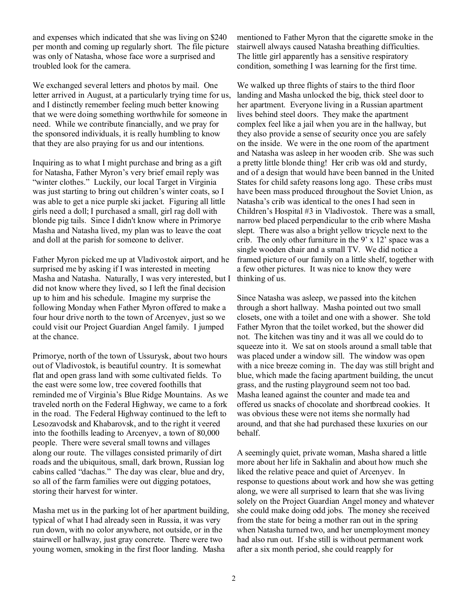and expenses which indicated that she was living on \$240 per month and coming up regularly short. The file picture was only of Natasha, whose face wore a surprised and troubled look for the camera.

We exchanged several letters and photos by mail. One letter arrived in August, at a particularly trying time for us, and I distinctly remember feeling much better knowing that we were doing something worthwhile for someone in need. While we contribute financially, and we pray for the sponsored individuals, it is really humbling to know that they are also praying for us and our intentions.

Inquiring as to what I might purchase and bring as a gift for Natasha, Father Myron's very brief email reply was "winter clothes." Luckily, our local Target in Virginia was just starting to bring out children's winter coats, so I was able to get a nice purple ski jacket. Figuring all little girls need a doll; I purchased a small, girl rag doll with blonde pig tails. Since I didn't know where in Primorye Masha and Natasha lived, my plan was to leave the coat and doll at the parish for someone to deliver.

Father Myron picked me up at Vladivostok airport, and he surprised me by asking if I was interested in meeting Masha and Natasha. Naturally, I was very interested, but I did not know where they lived, so I left the final decision up to him and his schedule. Imagine my surprise the following Monday when Father Myron offered to make a four hour drive north to the town of Arcenyev, just so we could visit our Project Guardian Angel family. I jumped at the chance.

Primorye, north of the town of Ussurysk, about two hours out of Vladivostok, is beautiful country. It is somewhat flat and open grass land with some cultivated fields. To the east were some low, tree covered foothills that reminded me of Virginia's Blue Ridge Mountains. As we traveled north on the Federal Highway, we came to a fork in the road. The Federal Highway continued to the left to Lesozavodsk and Khabarovsk, and to the right it veered into the foothills leading to Arcenyev, a town of 80,000 people. There were several small towns and villages along our route. The villages consisted primarily of dirt roads and the ubiquitous, small, dark brown, Russian log cabins called "dachas." The day was clear, blue and dry, so all of the farm families were out digging potatoes, storing their harvest for winter.

Masha met us in the parking lot of her apartment building, typical of what I had already seen in Russia, it was very run down, with no color anywhere, not outside, or in the stairwell or hallway, just gray concrete. There were two young women, smoking in the first floor landing. Masha

mentioned to Father Myron that the cigarette smoke in the stairwell always caused Natasha breathing difficulties. The little girl apparently has a sensitive respiratory condition, something I was learning for the first time.

We walked up three flights of stairs to the third floor landing and Masha unlocked the big, thick steel door to her apartment. Everyone living in a Russian apartment lives behind steel doors. They make the apartment complex feel like a jail when you are in the hallway, but they also provide a sense of security once you are safely on the inside. We were in the one room of the apartment and Natasha was asleep in her wooden crib. She was such a pretty little blonde thing! Her crib was old and sturdy, and of a design that would have been banned in the United States for child safety reasons long ago. These cribs must have been mass produced throughout the Soviet Union, as Natasha's crib was identical to the ones I had seen in Children's Hospital #3 in Vladivostok. There was a small, narrow bed placed perpendicular to the crib where Masha slept. There was also a bright yellow tricycle next to the crib. The only other furniture in the  $9' \times 12'$  space was a single wooden chair and a small TV. We did notice a framed picture of our family on a little shelf, together with a few other pictures. It was nice to know they were thinking of us.

Since Natasha was asleep, we passed into the kitchen through a short hallway. Masha pointed out two small closets, one with a toilet and one with a shower. She told Father Myron that the toilet worked, but the shower did not. The kitchen was tiny and it was all we could do to squeeze into it. We sat on stools around a small table that was placed under a window sill. The window was open with a nice breeze coming in. The day was still bright and blue, which made the facing apartment building, the uncut grass, and the rusting playground seem not too bad. Masha leaned against the counter and made tea and offered us snacks of chocolate and shortbread cookies. It was obvious these were not items she normally had around, and that she had purchased these luxuries on our behalf.

A seemingly quiet, private woman, Masha shared a little more about her life in Sakhalin and about how much she liked the relative peace and quiet of Arcenyev. In response to questions about work and how she was getting along, we were all surprised to learn that she was living solely on the Project Guardian Angel money and whatever she could make doing odd jobs. The money she received from the state for being a mother ran out in the spring when Natasha turned two, and her unemployment money had also run out. If she still is without permanent work after a six month period, she could reapply for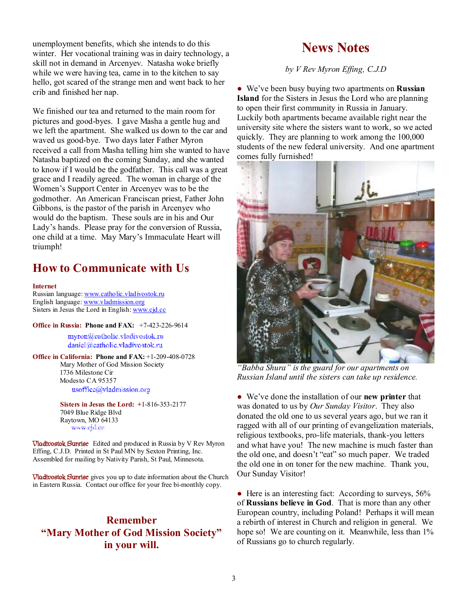unemployment benefits, which she intends to do this winter. Her vocational training was in dairy technology, a skill not in demand in Arcenyev. Natasha woke briefly while we were having tea, came in to the kitchen to say hello, got scared of the strange men and went back to her crib and finished her nap.

We finished our tea and returned to the main room for pictures and good-byes. I gave Masha a gentle hug and we left the apartment. She walked us down to the car and waved us good-bye. Two days later Father Myron received a call from Masha telling him she wanted to have Natasha baptized on the coming Sunday, and she wanted to know if I would be the godfather. This call was a great grace and I readily agreed. The woman in charge of the Women's Support Center in Arcenyev was to be the godmother. An American Franciscan priest, Father John Gibbons, is the pastor of the parish in Arcenyev who would do the baptism. These souls are in his and Our Lady's hands. Please pray for the conversion of Russia, one child at a time. May Mary's Immaculate Heart will triumph!

#### **How to Communicate with Us**

#### **Internet**

Russian language: [www.catholic.vladivostok.ru](http://www.catholic.vladivostok.ru) English language: [www.vladmission.org](http://www.vladmission.org) Sisters in Jesus the Lord in English: [www.cjd.cc](http://www.cjd.cc)

**Office in Russia: Phone and FAX:** +7-423-226-9614

myron@catholic.vladivostok.ru daniel@eatholic.vladivostok.ru

**Office in California: Phone and FAX:** +1-209-408-0728 Mary Mother of God Mission Society 1736 Milestone Cir Modesto CA 95357 usoffice@vladmission.org

> **Sisters in Jesus the Lord: +**1-816-353-2177 7049 Blue Ridge Blvd Raytown, MO 64133 www.ejd.ee

**Vladivostok Sunrise** Edited and produced in Russia by V Rev Myron Effing, C.J.D. Printed in St Paul MN by Sexton Printing, Inc. Assembled for mailing by Nativity Parish, St Paul, Minnesota.

**Vladivostok Sunrise** gives you up to date information about the Church in Eastern Russia. Contact our office for your free bi-monthly copy.

#### **Remember "Mary Mother of God Mission Society" in your will.**

#### **News Notes**

*by V Rev Myron Effing, C.J.D* 

● We've been busy buying two apartments on **Russian Island** for the Sisters in Jesus the Lord who are planning to open their first community in Russia in January. Luckily both apartments became available right near the university site where the sisters want to work, so we acted quickly. They are planning to work among the 100,000 students of the new federal university. And one apartment comes fully furnished!



*"Babba Shura" is the guard for our apartments on Russian Island until the sisters can take up residence.* 

● We've done the installation of our **new printer** that was donated to us by *Our Sunday Visitor*. They also donated the old one to us several years ago, but we ran it ragged with all of our printing of evangelization materials, religious textbooks, pro-life materials, thank-you letters and what have you! The new machine is much faster than the old one, and doesn't "eat" so much paper. We traded the old one in on toner for the new machine. Thank you, Our Sunday Visitor!

• Here is an interesting fact: According to surveys, 56% of **Russians believe in God**. That is more than any other European country, including Poland! Perhaps it will mean a rebirth of interest in Church and religion in general. We hope so! We are counting on it. Meanwhile, less than  $1\%$ of Russians go to church regularly.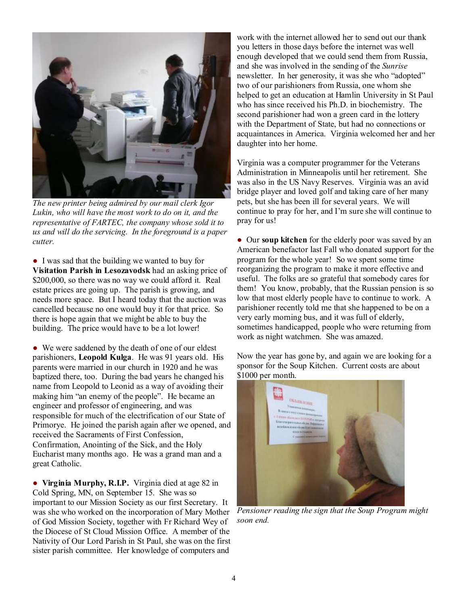

*The new printer being admired by our mail clerk Igor Lukin, who will have the most work to do on it, and the representative of FARTEC, the company whose sold it to us and will do the servicing. In the foreground is a paper cutter.* 

● I was sad that the building we wanted to buy for **Visitation Parish in Lesozavodsk** had an asking price of \$200,000, so there was no way we could afford it. Real estate prices are going up. The parish is growing, and needs more space. But I heard today that the auction was cancelled because no one would buy it for that price. So there is hope again that we might be able to buy the building. The price would have to be a lot lower!

• We were saddened by the death of one of our eldest parishioners, **Leopold Kulga**. He was 91 years old. His parents were married in our church in 1920 and he was baptized there, too. During the bad years he changed his name from Leopold to Leonid as a way of avoiding their making him "an enemy of the people". He became an engineer and professor of engineering, and was responsible for much of the electrification of our State of Primorye. He joined the parish again after we opened, and received the Sacraments of First Confession, Confirmation, Anointing of the Sick, and the Holy Eucharist many months ago. He was a grand man and a great Catholic.

● **Virginia Murphy, R.I.P.** Virginia died at age 82 in Cold Spring, MN, on September 15. She was so important to our Mission Society as our first Secretary. It was she who worked on the incorporation of Mary Mother of God Mission Society, together with Fr Richard Wey of the Diocese of St Cloud Mission Office. A member of the Nativity of Our Lord Parish in St Paul, she was on the first sister parish committee. Her knowledge of computers and

work with the internet allowed her to send out our thank you letters in those days before the internet was well enough developed that we could send them from Russia, and she was involved in the sending of the *Sunrise*  newsletter. In her generosity, it was she who "adopted" two of our parishioners from Russia, one whom she helped to get an education at Hamlin University in St Paul who has since received his Ph.D. in biochemistry. The second parishioner had won a green card in the lottery with the Department of State, but had no connections or acquaintances in America. Virginia welcomed her and her daughter into her home.

Virginia was a computer programmer for the Veterans Administration in Minneapolis until her retirement. She was also in the US Navy Reserves. Virginia was an avid bridge player and loved golf and taking care of her many pets, but she has been ill for several years. We will continue to pray for her, and I'm sure she will continue to pray for us!

● Our **soup kitchen** for the elderly poor was saved by an American benefactor last Fall who donated support for the program for the whole year! So we spent some time reorganizing the program to make it more effective and useful. The folks are so grateful that somebody cares for them! You know, probably, that the Russian pension is so low that most elderly people have to continue to work. A parishioner recently told me that she happened to be on a very early morning bus, and it was full of elderly, sometimes handicapped, people who were returning from work as night watchmen. She was amazed.

Now the year has gone by, and again we are looking for a sponsor for the Soup Kitchen. Current costs are about \$1000 per month.



*Pensioner reading the sign that the Soup Program might soon end.*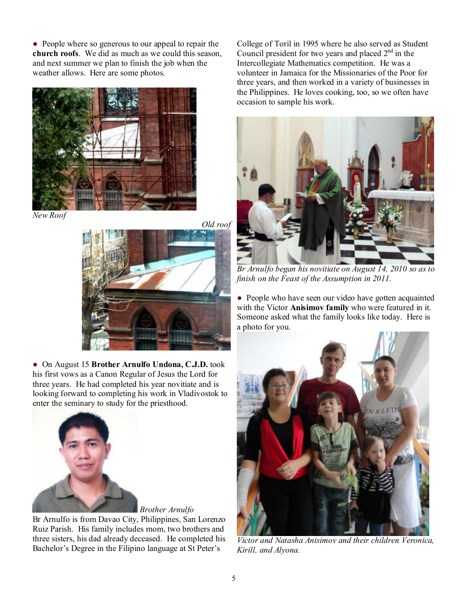● People where so generous to our appeal to repair the **church roofs**. We did as much as we could this season, and next summer we plan to finish the job when the weather allows. Here are some photos.



*New Roof* 





● On August 15 **Brother Arnulfo Undona, C.J.D.** took his first vows as a Canon Regular of Jesus the Lord for three years. He had completed his year novitiate and is looking forward to completing his work in Vladivostok to enter the seminary to study for the priesthood.



Br Arnulfo is from Davao City, Philippines, San Lorenzo Ruiz Parish. His family includes mom, two brothers and three sisters, his dad already deceased. He completed his Bachelor's Degree in the Filipino language at St Peter's

College of Toril in 1995 where he also served as Student Council president for two years and placed  $2<sup>nd</sup>$  in the Intercollegiate Mathematics competition. He was a volunteer in Jamaica for the Missionaries of the Poor for three years, and then worked in a variety of businesses in the Philippines. He loves cooking, too, so we often have occasion to sample his work.



*Br Arnulfo began his novitiate on August 14, 2010 so as to finish on the Feast of the Assumption in 2011.* 

• People who have seen our video have gotten acquainted with the Victor **Anisimov family** who were featured in it. Someone asked what the family looks like today. Here is a photo for you.



*Victor and Natasha Anisimov and their children Veronica, Kirill, and Alyona.*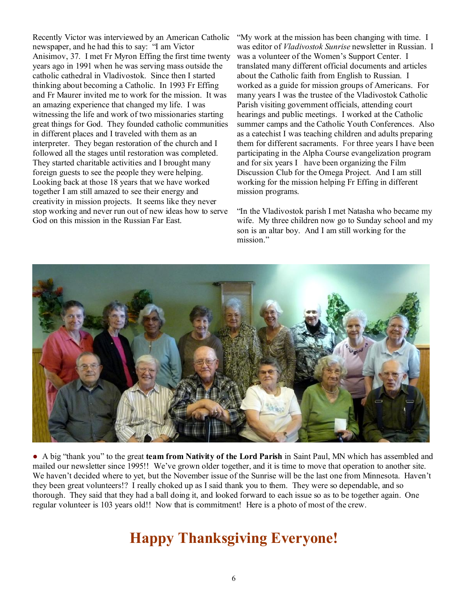Recently Victor was interviewed by an American Catholic newspaper, and he had this to say: "I am Victor Anisimov, 37. I met Fr Myron Effing the first time twenty years ago in 1991 when he was serving mass outside the catholic cathedral in Vladivostok. Since then I started thinking about becoming a Catholic. In 1993 Fr Effing and Fr Maurer invited me to work for the mission. It was an amazing experience that changed my life. I was witnessing the life and work of two missionaries starting great things for God. They founded catholic communities in different places and I traveled with them as an interpreter. They began restoration of the church and I followed all the stages until restoration was completed. They started charitable activities and I brought many foreign guests to see the people they were helping. Looking back at those 18 years that we have worked together I am still amazed to see their energy and creativity in mission projects. It seems like they never stop working and never run out of new ideas how to serve God on this mission in the Russian Far East.

"Му work at the mission has been changing with time. I was editor of *Vladivostok Sunrise* newsletter in Russian. I was a volunteer of the Women's Support Center. I translated many different official documents and articles about the Catholic faith from English to Russian. I worked as а guide for mission groups of Americans. For many years I was the trustee of the Vladivostok Catholic Parish visiting government officials, attending court hearings and public meetings. I worked at the Catholic summer camps and the Catholic Youth Conferences. Also as а catechist I was teaching children and adults preparing them for different sacraments. For three years I have been participating in the Alpha Course evangelization program and for six years I . have been organizing the Film Discussion Club for the Omega Project. And I аm still working for the mission helping Fr Effing in different mission programs.

"In the Vladivostok parish I met Natasha who became my wife. My three children now go to Sunday school and my son is an altar boy. And I am still working for the mission."



● A big "thank you" to the great **team from Nativity of the Lord Parish** in Saint Paul, MN which has assembled and mailed our newsletter since 1995!! We've grown older together, and it is time to move that operation to another site. We haven't decided where to yet, but the November issue of the Sunrise will be the last one from Minnesota. Haven't they been great volunteers!? I really choked up as I said thank you to them. They were so dependable, and so thorough. They said that they had a ball doing it, and looked forward to each issue so as to be together again. One regular volunteer is 103 years old!! Now that is commitment! Here is a photo of most of the crew.

## **Happy Thanksgiving Everyone!**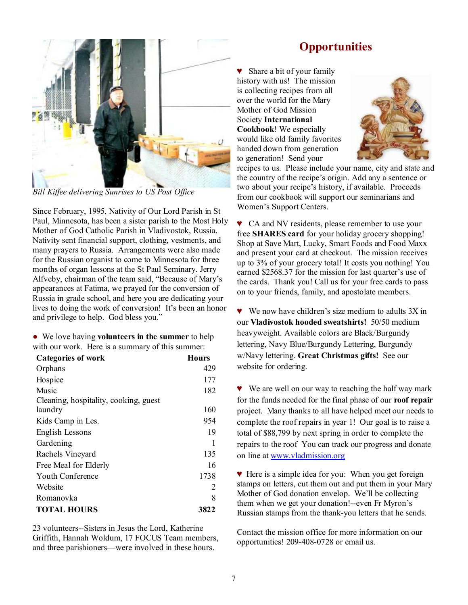

*Bill Kiffee delivering Sunrises to US Post Office* 

Since February, 1995, Nativity of Our Lord Parish in St Paul, Minnesota, has been a sister parish to the Most Holy Mother of God Catholic Parish in Vladivostok, Russia. Nativity sent financial support, clothing, vestments, and many prayers to Russia. Arrangements were also made for the Russian organist to come to Minnesota for three months of organ lessons at the St Paul Seminary. Jerry Alfveby, chairman of the team said, "Because of Mary's appearances at Fatima, we prayed for the conversion of Russia in grade school, and here you are dedicating your lives to doing the work of conversion! It's been an honor and privilege to help. God bless you."

● We love having **volunteers in the summer** to help with our work. Here is a summary of this summer:

| <b>Categories of work</b>             | <b>Hours</b> |
|---------------------------------------|--------------|
| Orphans                               | 429          |
| Hospice                               | 177          |
| Music                                 | 182          |
| Cleaning, hospitality, cooking, guest |              |
| laundry                               | 160          |
| Kids Camp in Les.                     | 954          |
| English Lessons                       | 19           |
| Gardening                             |              |
| Rachels Vineyard                      | 135          |
| Free Meal for Elderly                 | 16           |
| Youth Conference                      | 1738         |
| Website                               | 2            |
| Romanovka                             | 8            |
| <b>TOTAL HOURS</b>                    | 3822         |

23 volunteers--Sisters in Jesus the Lord, Katherine Griffith, Hannah Woldum, 17 FOCUS Team members, and three parishioners—were involved in these hours.

#### **Opportunities**

♥ Share a bit of your family history with us! The mission is collecting recipes from all over the world for the Mary Mother of God Mission Society **International Cookbook**! We especially would like old family favorites handed down from generation to generation! Send your



recipes to us. Please include your name, city and state and the country of the recipe's origin. Add any a sentence or two about your recipe's history, if available. Proceeds from our cookbook will support our seminarians and Women's Support Centers.

♥ CA and NV residents, please remember to use your free **SHARES card** for your holiday grocery shopping! Shop at Save Mart, Lucky, Smart Foods and Food Maxx and present your card at checkout. The mission receives up to 3% of your grocery total! It costs you nothing! You earned \$2568.37 for the mission for last quarter's use of the cards. Thank you! Call us for your free cards to pass on to your friends, family, and apostolate members.

♥ We now have children's size medium to adults 3X in our **Vladivostok hooded sweatshirts!** 50/50 medium heavyweight. Available colors are Black/Burgundy lettering, Navy Blue/Burgundy Lettering, Burgundy w/Navy lettering. **Great Christmas gifts!** See our website for ordering.

♥ We are well on our way to reaching the half way mark for the funds needed for the final phase of our **roof repair** project. Many thanks to all have helped meet our needs to complete the roof repairs in year 1! Our goal is to raise a total of \$88,799 by next spring in order to complete the repairs to the roof You can track our progress and donate on line at [www.vladmission.org](http://www.vladmission.org)

♥ Here is a simple idea for you: When you get foreign stamps on letters, cut them out and put them in your Mary Mother of God donation envelop. We'll be collecting them when we get your donation!--even Fr Myron's Russian stamps from the thank-you letters that he sends.

Contact the mission office for more information on our opportunities! 209-408-0728 or email us.